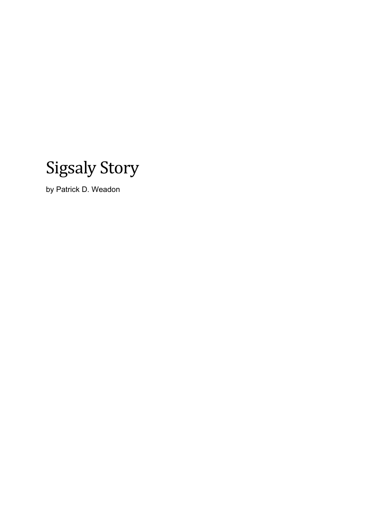

by Patrick D. Weadon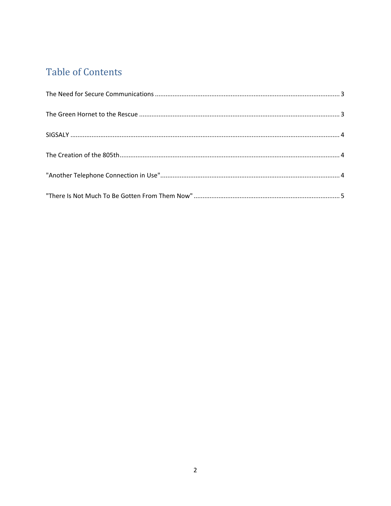# **Table of Contents**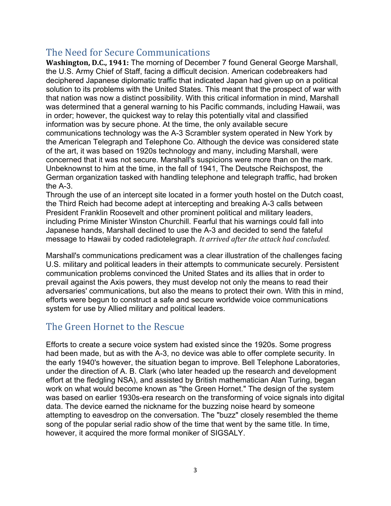### <span id="page-2-0"></span>The Need for Secure Communications

**Washington, D.C., 1941:** The morning of December 7 found General George Marshall, the U.S. Army Chief of Staff, facing a difficult decision. American codebreakers had deciphered Japanese diplomatic traffic that indicated Japan had given up on a political solution to its problems with the United States. This meant that the prospect of war with that nation was now a distinct possibility. With this critical information in mind, Marshall was determined that a general warning to his Pacific commands, including Hawaii, was in order; however, the quickest way to relay this potentially vital and classified information was by secure phone. At the time, the only available secure communications technology was the A-3 Scrambler system operated in New York by the American Telegraph and Telephone Co. Although the device was considered state of the art, it was based on 1920s technology and many, including Marshall, were concerned that it was not secure. Marshall's suspicions were more than on the mark. Unbeknownst to him at the time, in the fall of 1941, The Deutsche Reichspost, the German organization tasked with handling telephone and telegraph traffic, had broken the A-3.

Through the use of an intercept site located in a former youth hostel on the Dutch coast, the Third Reich had become adept at intercepting and breaking A-3 calls between President Franklin Roosevelt and other prominent political and military leaders, including Prime Minister Winston Churchill. Fearful that his warnings could fall into Japanese hands, Marshall declined to use the A-3 and decided to send the fateful message to Hawaii by coded radiotelegraph. *It arrived after the attack had concluded.*

Marshall's communications predicament was a clear illustration of the challenges facing U.S. military and political leaders in their attempts to communicate securely. Persistent communication problems convinced the United States and its allies that in order to prevail against the Axis powers, they must develop not only the means to read their adversaries' communications, but also the means to protect their own. With this in mind, efforts were begun to construct a safe and secure worldwide voice communications system for use by Allied military and political leaders.

#### <span id="page-2-1"></span>The Green Hornet to the Rescue

Efforts to create a secure voice system had existed since the 1920s. Some progress had been made, but as with the A-3, no device was able to offer complete security. In the early 1940's however, the situation began to improve. Bell Telephone Laboratories, under the direction of A. B. Clark (who later headed up the research and development effort at the fledgling NSA), and assisted by British mathematician Alan Turing, began work on what would become known as "the Green Hornet." The design of the system was based on earlier 1930s-era research on the transforming of voice signals into digital data. The device earned the nickname for the buzzing noise heard by someone attempting to eavesdrop on the conversation. The "buzz" closely resembled the theme song of the popular serial radio show of the time that went by the same title. In time, however, it acquired the more formal moniker of SIGSALY.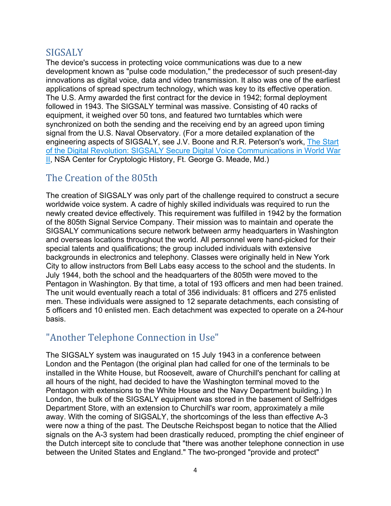## <span id="page-3-0"></span>**SIGSALY**

The device's success in protecting voice communications was due to a new development known as "pulse code modulation," the predecessor of such present-day innovations as digital voice, data and video transmission. It also was one of the earliest applications of spread spectrum technology, which was key to its effective operation. The U.S. Army awarded the first contract for the device in 1942; formal deployment followed in 1943. The SIGSALY terminal was massive. Consisting of 40 racks of equipment, it weighed over 50 tons, and featured two turntables which were synchronized on both the sending and the receiving end by an agreed upon timing signal from the U.S. Naval Observatory. (For a more detailed explanation of the engineering aspects of SIGSALY, see J.V. Boone and R.R. Peterson's work, The [Start](https://nsa.dod.afpims.mil/about/cryptologic-heritage/historical-figures-publications/publications/wwii/sigsaly-start-digital.shtml) of the Digital Revolution: SIGSALY Secure Digital Voice [Communications](https://nsa.dod.afpims.mil/about/cryptologic-heritage/historical-figures-publications/publications/wwii/sigsaly-start-digital.shtml) in World War [II,](https://nsa.dod.afpims.mil/about/cryptologic-heritage/historical-figures-publications/publications/wwii/sigsaly-start-digital.shtml) NSA Center for Cryptologic History, Ft. George G. Meade, Md.)

#### <span id="page-3-1"></span>The Creation of the 805th

The creation of SIGSALY was only part of the challenge required to construct a secure worldwide voice system. A cadre of highly skilled individuals was required to run the newly created device effectively. This requirement was fulfilled in 1942 by the formation of the 805th Signal Service Company. Their mission was to maintain and operate the SIGSALY communications secure network between army headquarters in Washington and overseas locations throughout the world. All personnel were hand-picked for their special talents and qualifications; the group included individuals with extensive backgrounds in electronics and telephony. Classes were originally held in New York City to allow instructors from Bell Labs easy access to the school and the students. In July 1944, both the school and the headquarters of the 805th were moved to the Pentagon in Washington. By that time, a total of 193 officers and men had been trained. The unit would eventually reach a total of 356 individuals: 81 officers and 275 enlisted men. These individuals were assigned to 12 separate detachments, each consisting of 5 officers and 10 enlisted men. Each detachment was expected to operate on a 24-hour basis.

## <span id="page-3-2"></span>"Another Telephone Connection in Use"

The SIGSALY system was inaugurated on 15 July 1943 in a conference between London and the Pentagon (the original plan had called for one of the terminals to be installed in the White House, but Roosevelt, aware of Churchill's penchant for calling at all hours of the night, had decided to have the Washington terminal moved to the Pentagon with extensions to the White House and the Navy Department building.) In London, the bulk of the SIGSALY equipment was stored in the basement of Selfridges Department Store, with an extension to Churchill's war room, approximately a mile away. With the coming of SIGSALY, the shortcomings of the less than effective A-3 were now a thing of the past. The Deutsche Reichspost began to notice that the Allied signals on the A-3 system had been drastically reduced, prompting the chief engineer of the Dutch intercept site to conclude that "there was another telephone connection in use between the United States and England." The two-pronged "provide and protect"